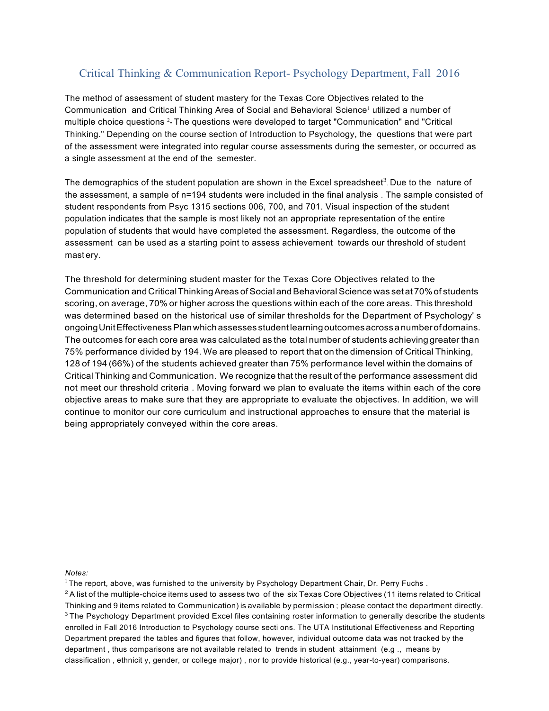## Critical Thinking & Communication Report- Psychology Department, Fall 2016

 The method of assessment of student mastery for the Texas Core Objectives related to the Communication and Critical Thinking Area of Social and Behavioral Science<sup>1</sup> utilized a number of multiple choice questions 2• The questions were developed to target "Communication" and "Critical Thinking." Depending on the course section of Introduction to Psychology, the questions that were part of the assessment were integrated into regular course assessments during the semester, or occurred as a single assessment at the end of the semester.

The demographics of the student population are shown in the Excel spreadsheet<sup>3</sup>. Due to the nature of the assessment, a sample of n=194 students were included in the final analysis . The sample consisted of student respondents from Psyc 1315 sections 006, 700, and 701. Visual inspection of the student population indicates that the sample is most likely not an appropriate representation of the entire population of students that would have completed the assessment. Regardless, the outcome of the assessment can be used as a starting point to assess achievement towards our threshold of student mast ery.

 The threshold for determining student master for the Texas Core Objectives related to the Communication and CriticalThinkingAreas of Social andBehavioral Science was set at70%of students scoring, on average, 70% or higher across the questions within each of the core areas. This threshold was determined based on the historical use of similar thresholds for the Department of Psychology' s ongoingUnitEffectiveness Planwhichassesses student learningoutcomesacrossanumberofdomains. The outcomes for each core area was calculated as the total number of students achieving greater than 75% performance divided by 194. We are pleased to report that on the dimension of Critical Thinking, 128 of 194 (66%) of the students achieved greater than 75% performance level within the domains of Critical Thinking and Communication. We recognize that the result of the performance assessment did not meet our threshold criteria . Moving forward we plan to evaluate the items within each of the core objective areas to make sure that they are appropriate to evaluate the objectives. In addition, we will continue to monitor our core curriculum and instructional approaches to ensure that the material is being appropriately conveyed within the core areas.

*Notes:* 

 $^2$  A list of the multiple-choice items used to assess two of the six Texas Core Objectives (11 items related to Critical Thinking and 9 items related to Communication) is available by permission; please contact the department directly. Thinking and 9 items related to Communication) is available by permission ; please contact the department directly.<br><sup>3</sup> The Psychology Department provided Excel files containing roster information to generally describe the enrolled in Fall 2016 Introduction to Psychology course secti ons. The UTA Institutional Effectiveness and Reporting Department prepared the tables and figures that follow, however, individual outcome data was not tracked by the department , thus comparisons are not available related to trends in student attainment (e.g ., means by classification , ethnicit y, gender, or college major) , nor to provide historical (e.g., year-to-year) comparisons.

 $1$  The report, above, was furnished to the university by Psychology Department Chair, Dr. Perry Fuchs.